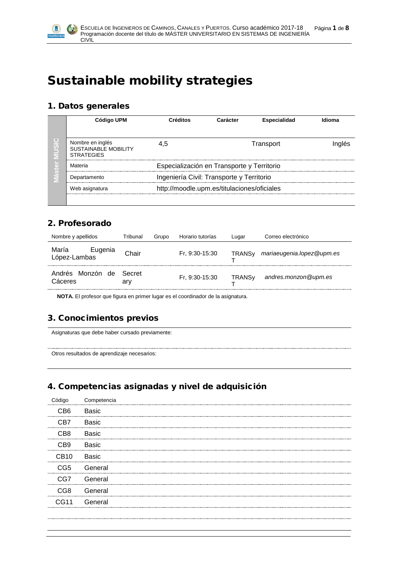

# Sustainable mobility strategies

#### 1. Datos generales

| O<br>$\sigma$<br>$\overline{d}$ | Código UPM                                                           | Créditos<br>Carácter                        |                                            | <b>Especialidad</b> | Idioma |  |  |  |
|---------------------------------|----------------------------------------------------------------------|---------------------------------------------|--------------------------------------------|---------------------|--------|--|--|--|
|                                 | Nombre en inglés<br><b>SUSTAINABLE MOBILITY</b><br><b>STRATEGIES</b> | 4.5                                         |                                            |                     |        |  |  |  |
|                                 | Materia                                                              |                                             | Especialización en Transporte y Territorio |                     |        |  |  |  |
|                                 | Departamento                                                         | Ingeniería Civil: Transporte y Territorio   |                                            |                     |        |  |  |  |
|                                 | Web asignatura                                                       | http://moodle.upm.es/titulaciones/oficiales |                                            |                     |        |  |  |  |
|                                 |                                                                      |                                             |                                            |                     |        |  |  |  |

## 2. Profesorado

| Nombre y apellidos               | Tribunal      | Grupo | Horario tutorías | Lugar                    | Correo electrónico        |
|----------------------------------|---------------|-------|------------------|--------------------------|---------------------------|
| María<br>Eugenia<br>López-Lambas | Chair         |       | Fr, 9:30-15:30   | <b>TRANS<sub>v</sub></b> | mariaeugenia.lopez@upm.es |
| Andrés Monzón de<br>Cáceres      | Secret<br>arv |       | Fr, 9:30-15:30   | <b>TRANS<sub>V</sub></b> | andres.monzon@upm.es      |

**NOTA.** El profesor que figura en primer lugar es el coordinador de la asignatura.

# 3. Conocimientos previos

Asignaturas que debe haber cursado previamente:

Otros resultados de aprendizaje necesarios:

# 4. Competencias asignadas y nivel de adquisición

|             | Competencia  |
|-------------|--------------|
| CB6.        | Basic        |
| C.R7        | <b>Basic</b> |
| C.B.R       | <b>Basic</b> |
| ∩R9.        | Basic        |
| ∵R1∩        | <b>Basic</b> |
| CG5         | General      |
| CG7         | General      |
| 7.G8        | General      |
| <b>CG11</b> | General      |
|             |              |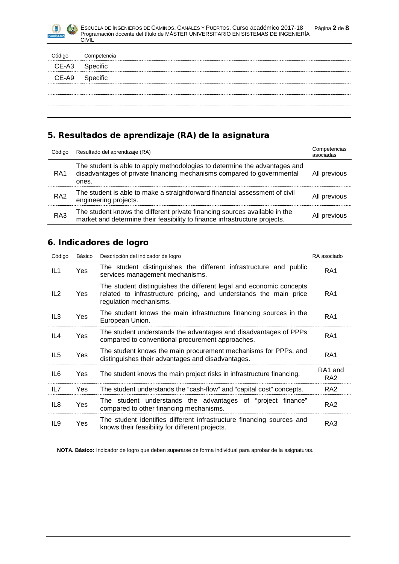

| Código | Competencia |  |
|--------|-------------|--|
| CE-A3  | Specific    |  |
| CE-A9  | Specific    |  |
|        |             |  |
|        |             |  |

## 5. Resultados de aprendizaje (RA) de la asignatura

| Código          | Resultado del aprendizaje (RA)                                                                                                                                | Competencias<br>asociadas |
|-----------------|---------------------------------------------------------------------------------------------------------------------------------------------------------------|---------------------------|
| RA <sub>1</sub> | The student is able to apply methodologies to determine the advantages and<br>disadvantages of private financing mechanisms compared to governmental<br>ones. | All previous              |
| RA <sub>2</sub> | The student is able to make a straightforward financial assessment of civil<br>engineering projects.                                                          | All previous              |
| RA3             | The student knows the different private financing sources available in the<br>market and determine their feasibility to finance infrastructure projects.      | All previous              |

#### 6. Indicadores de logro

| Código          | Básico | Descripción del indicador de logro                                                                                                                                 | RA asociado                            |
|-----------------|--------|--------------------------------------------------------------------------------------------------------------------------------------------------------------------|----------------------------------------|
| IL1             | Yes    | The student distinguishes the different infrastructure and public<br>services management mechanisms.                                                               | RA <sub>1</sub>                        |
| IL2             | Yes    | The student distinguishes the different legal and economic concepts<br>related to infrastructure pricing, and understands the main price<br>regulation mechanisms. | RA1                                    |
| IL <sub>3</sub> | Yes    | The student knows the main infrastructure financing sources in the<br>European Union.                                                                              | RA <sub>1</sub>                        |
| IL <sub>4</sub> | Yes    | The student understands the advantages and disadvantages of PPPs<br>compared to conventional procurement approaches.                                               | RA <sub>1</sub>                        |
| IL <sub>5</sub> | Yes    | The student knows the main procurement mechanisms for PPPs, and<br>distinguishes their advantages and disadvantages.                                               | RA1                                    |
| IL6             | Yes    | The student knows the main project risks in infrastructure financing.                                                                                              | RA <sub>1</sub> and<br>RA <sub>2</sub> |
| IL7             | Yes    | The student understands the "cash-flow" and "capital cost" concepts.                                                                                               | RA <sub>2</sub>                        |
| IL <sub>8</sub> | Yes    | The student understands the advantages of "project finance"<br>compared to other financing mechanisms.                                                             | RA <sub>2</sub>                        |
| IL9             | Yes    | The student identifies different infrastructure financing sources and<br>knows their feasibility for different projects.                                           | RA3                                    |

**NOTA. Básico:** Indicador de logro que deben superarse de forma individual para aprobar de la asignaturas.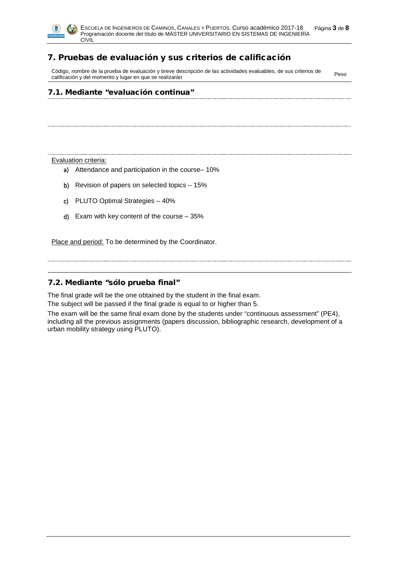

## 7. Pruebas de evaluación y sus criterios de calificación

Código, nombre de la prueba de evaluación y breve descripción de las actividades evaluables, de sus criterios de Codigo, nombre de la prueba de evaluación y breve descripción de las actividades evaluables, de sus criterios de<br>calificación y del momento y lugar en que se realizarán

#### 7.1. Mediante "evaluación continua"

Evaluation criteria:

- a) Attendance and participation in the course– 10%
- b) Revision of papers on selected topics 15%
- c) PLUTO Optimal Strategies 40%
- d) Exam with key content of the course 35%

Place and period: To be determined by the Coordinator.

#### 7.2. Mediante "sólo prueba final"

The final grade will be the one obtained by the student in the final exam.

The subject will be passed if the final grade is equal to or higher than 5.

The exam will be the same final exam done by the students under "continuous assessment" (PE4), including all the previous assignments (papers discussion, bibliographic research, development of a urban mobility strategy using PLUTO).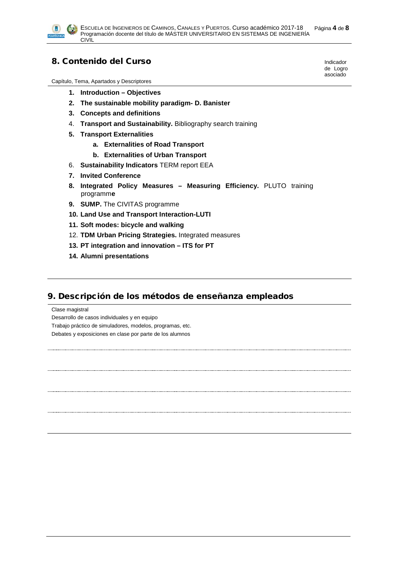

#### 8. Contenido del Curso

Capítulo, Tema, Apartados y Descriptores

- **1. Introduction – Objectives**
- **2. The sustainable mobility paradigm- D. Banister**
- **3. Concepts and definitions**
- 4. **Transport and Sustainability.** Bibliography search training
- **5. Transport Externalities**
	- **a. Externalities of Road Transport**
	- **b. Externalities of Urban Transport**
- 6. **Sustainability Indicators** TERM report EEA
- **7. Invited Conference**
- **8. Integrated Policy Measures – Measuring Efficiency.** PLUTO training programm**e**
- **9. SUMP.** The CIVITAS programme
- **10. Land Use and Transport Interaction-LUTI**
- **11. Soft modes: bicycle and walking**
- 12. **TDM Urban Pricing Strategies.** Integrated measures
- **13. PT integration and innovation – ITS for PT**
- **14. Alumni presentations**

#### 9. Descripción de los métodos de enseñanza empleados

Clase magistral

Desarrollo de casos individuales y en equipo

Trabajo práctico de simuladores, modelos, programas, etc.

Debates y exposiciones en clase por parte de los alumnos

Indicador de Logro asociado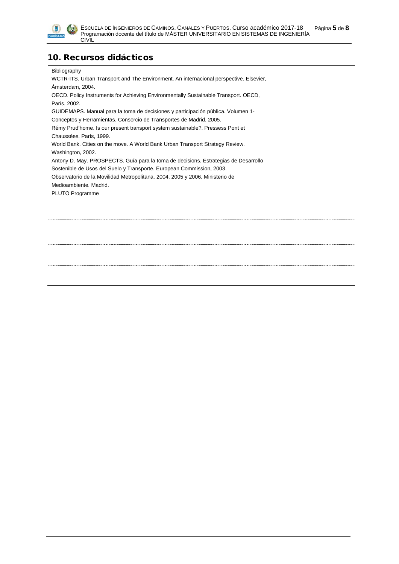

#### 10. Recursos didácticos

#### Bibliography

WCTR-ITS. Urban Transport and The Environment. An internacional perspective. Elsevier, Ámsterdam, 2004. OECD. Policy Instruments for Achieving Environmentally Sustainable Transport. OECD, París, 2002. GUIDEMAPS. Manual para la toma de decisiones y participación pública. Volumen 1- Conceptos y Herramientas. Consorcio de Transportes de Madrid, 2005. Rémy Prud'home. Is our present transport system sustainable?. Pressess Pont et Chaussées. París, 1999. World Bank. Cities on the move. A World Bank Urban Transport Strategy Review. Washington, 2002. Antony D. May. PROSPECTS. Guía para la toma de decisions. Estrategias de Desarrollo Sostenible de Usos del Suelo y Transporte. European Commission, 2003. Observatorio de la Movilidad Metropolitana. 2004, 2005 y 2006. Ministerio de Medioambiente. Madrid. PLUTO Programme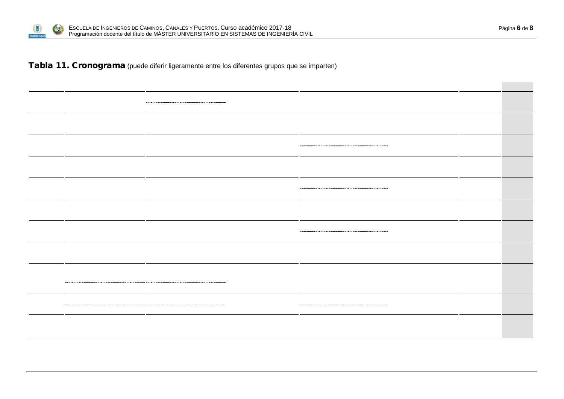

Tabla 11. Cronograma (puede diferir ligeramente entre los diferentes grupos que se imparten)

|  | --                       |  |  |  |
|--|--------------------------|--|--|--|
|  | ------- ----------       |  |  |  |
|  | ----- -----              |  |  |  |
|  |                          |  |  |  |
|  | $\overline{\phantom{a}}$ |  |  |  |
|  |                          |  |  |  |
|  |                          |  |  |  |
|  |                          |  |  |  |
|  |                          |  |  |  |
|  |                          |  |  |  |
|  |                          |  |  |  |

**Contract Contract**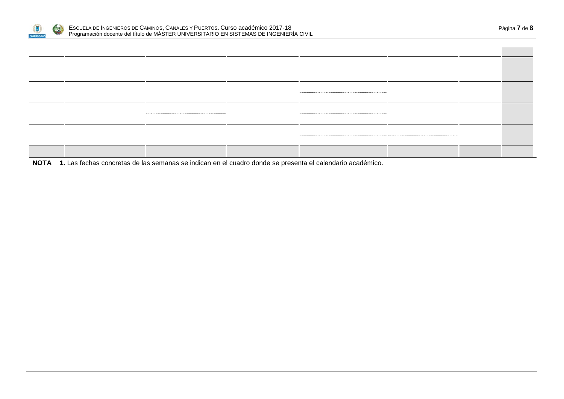

**NOTA 1.** Las fechas concretas de las semanas se indican en el cuadro donde se presenta el calendario académico.